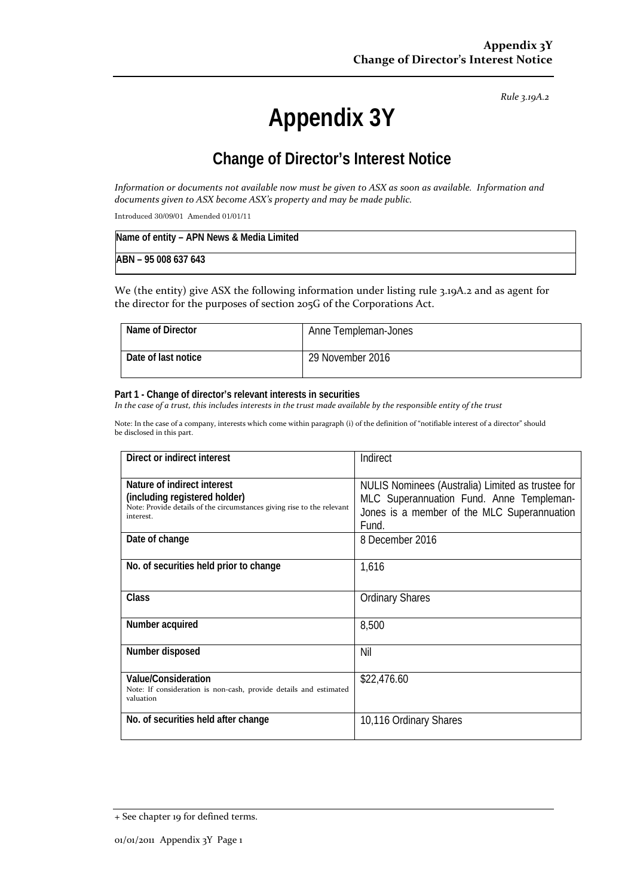*Rule 3.19A.2*

# **Appendix 3Y**

# **Change of Director's Interest Notice**

Information or documents not available now must be given to ASX as soon as available. Information and *documents given to ASX become ASX's property and may be made public.*

Introduced 30/09/01 Amended 01/01/11

| Name of entity - APN News & Media Limited |  |
|-------------------------------------------|--|
| ABN - 95 008 637 643                      |  |

We (the entity) give ASX the following information under listing rule 3.19A.2 and as agent for the director for the purposes of section 205G of the Corporations Act.

| Name of Director    | Anne Templeman-Jones |
|---------------------|----------------------|
| Date of last notice | 29 November 2016     |

#### **Part 1 - Change of director's relevant interests in securities**

In the case of a trust, this includes interests in the trust made available by the responsible entity of the trust

Note: In the case of a company, interests which come within paragraph (i) of the definition of "notifiable interest of a director" should be disclosed in this part.

| Direct or indirect interest                                                                                                                         | Indirect                                                                                                                                              |
|-----------------------------------------------------------------------------------------------------------------------------------------------------|-------------------------------------------------------------------------------------------------------------------------------------------------------|
| Nature of indirect interest<br>(including registered holder)<br>Note: Provide details of the circumstances giving rise to the relevant<br>interest. | NULIS Nominees (Australia) Limited as trustee for<br>MLC Superannuation Fund. Anne Templeman-<br>Jones is a member of the MLC Superannuation<br>Fund. |
| Date of change                                                                                                                                      | 8 December 2016                                                                                                                                       |
| No. of securities held prior to change                                                                                                              | 1,616                                                                                                                                                 |
| Class                                                                                                                                               | <b>Ordinary Shares</b>                                                                                                                                |
| Number acquired                                                                                                                                     | 8,500                                                                                                                                                 |
| Number disposed                                                                                                                                     | Nil                                                                                                                                                   |
| <b>Value/Consideration</b><br>Note: If consideration is non-cash, provide details and estimated<br>valuation                                        | \$22,476.60                                                                                                                                           |
| No. of securities held after change                                                                                                                 | 10,116 Ordinary Shares                                                                                                                                |

<sup>+</sup> See chapter 19 for defined terms.